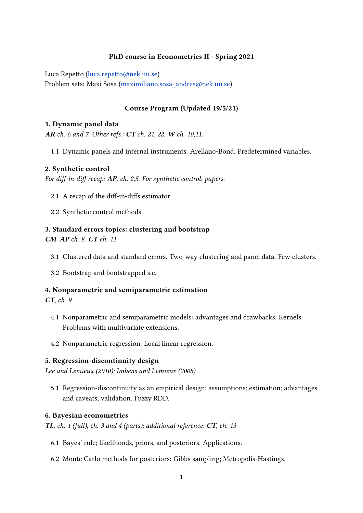## PhD course in Econometrics II - Spring 2021

Luca Repetto [\(luca.repetto@nek.uu.se\)](luca.repetto@nek.uu.se)

Problem sets: Maxi Sosa [\(maximiliano.sosa\\_andres@nek.uu.se\)](maximiliano.sosa_andres@nek.uu.se)

## Course Program (Updated 19/5/21)

#### 1. Dynamic panel data

AR ch. 6 and 7. Other refs.: CT ch. 21, 22. W ch. 10,11.

1.1 Dynamic panels and internal instruments. Arellano-Bond. Predetermined variables.

#### 2. Synthetic control

For diff-in-diff recap:  $AP$ , ch. 2,5. For synthetic control: papers.

- 2.1 A recap of the diff-in-diffs estimator.
- 2.2 Synthetic control methods.

# 3. Standard errors topics: clustering and bootstrap

CM. AP ch. 8. CT ch. 11

- 3.1 Clustered data and standard errors. Two-way clustering and panel data. Few clusters.
- 3.2 Bootstrap and bootstrapped s.e.

## 4. Nonparametric and semiparametric estimation

CT, ch. 9

- 4.1 Nonparametric and semiparametric models: advantages and drawbacks. Kernels. Problems with multivariate extensions.
- 4.2 Nonparametric regression. Local linear regression.

#### 5. Regression-discontinuity design

Lee and Lemieux (2010); Imbens and Lemieux (2008)

5.1 Regression-discontinuity as an empirical design; assumptions; estimation; advantages and caveats; validation. Fuzzy RDD.

#### 6. Bayesian econometrics

TL, ch. 1 (full); ch. 3 and 4 (parts); additional reference:  $CT$ , ch. 13

- 6.1 Bayes' rule; likelihoods, priors, and posteriors. Applications.
- 6.2 Monte Carlo methods for posteriors: Gibbs sampling; Metropolis-Hastings.